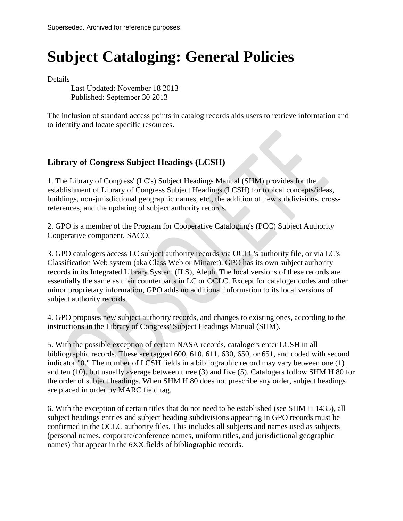# **Subject Cataloging: General Policies**

Details

Last Updated: November 18 2013 Published: September 30 2013

The inclusion of standard access points in catalog records aids users to retrieve information and to identify and locate specific resources.

## **Library of Congress Subject Headings (LCSH)**

1. The Library of Congress' (LC's) Subject Headings Manual (SHM) provides for the establishment of Library of Congress Subject Headings (LCSH) for topical concepts/ideas, buildings, non-jurisdictional geographic names, etc., the addition of new subdivisions, crossreferences, and the updating of subject authority records.

2. GPO is a member of the Program for Cooperative Cataloging's (PCC) Subject Authority Cooperative component, SACO.

3. GPO catalogers access LC subject authority records via OCLC's authority file, or via LC's Classification Web system (aka Class Web or Minaret). GPO has its own subject authority records in its Integrated Library System (ILS), Aleph. The local versions of these records are essentially the same as their counterparts in LC or OCLC. Except for cataloger codes and other minor proprietary information, GPO adds no additional information to its local versions of subject authority records.

4. GPO proposes new subject authority records, and changes to existing ones, according to the instructions in the Library of Congress' Subject Headings Manual (SHM).

5. With the possible exception of certain NASA records, catalogers enter LCSH in all bibliographic records. These are tagged 600, 610, 611, 630, 650, or 651, and coded with second indicator "0." The number of LCSH fields in a bibliographic record may vary between one (1) and ten (10), but usually average between three (3) and five (5). Catalogers follow SHM H 80 for the order of subject headings. When SHM H 80 does not prescribe any order, subject headings are placed in order by MARC field tag.

6. With the exception of certain titles that do not need to be established (see SHM H 1435), all subject headings entries and subject heading subdivisions appearing in GPO records must be confirmed in the OCLC authority files. This includes all subjects and names used as subjects (personal names, corporate/conference names, uniform titles, and jurisdictional geographic names) that appear in the 6XX fields of bibliographic records.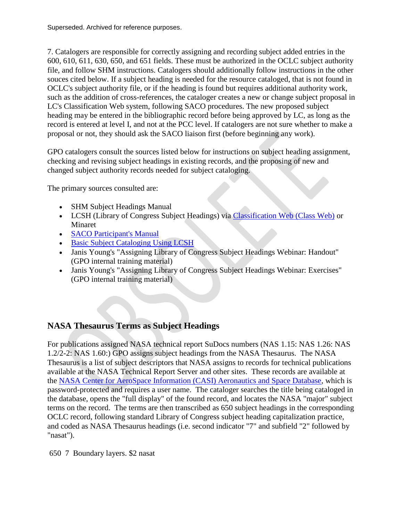7. Catalogers are responsible for correctly assigning and recording subject added entries in the 600, 610, 611, 630, 650, and 651 fields. These must be authorized in the OCLC subject authority file, and follow SHM instructions. Catalogers should additionally follow instructions in the other souces cited below. If a subject heading is needed for the resource cataloged, that is not found in OCLC's subject authority file, or if the heading is found but requires additional authority work, such as the addition of cross-references, the cataloger creates a new or change subject proposal in LC's Classification Web system, following SACO procedures. The new proposed subject heading may be entered in the bibliographic record before being approved by LC, as long as the record is entered at level I, and not at the PCC level. If catalogers are not sure whether to make a proposal or not, they should ask the SACO liaison first (before beginning any work).

GPO catalogers consult the sources listed below for instructions on subject heading assignment, checking and revising subject headings in existing records, and the proposing of new and changed subject authority records needed for subject cataloging.

The primary sources consulted are:

- SHM Subject Headings Manual
- LCSH (Library of Congress Subject Headings) via [Classification Web \(Class Web\)](http://classificationweb.net/Menu/subject.html) or Minaret
- [SACO Participant's Manual](http://www.loc.gov/aba/pcc/saco/documents/SACOManual2007.pdf)
- [Basic Subject Cataloging Using LCSH](http://www.loc.gov/catworkshop/courses/basicsubject/index.html)
- Janis Young's "Assigning Library of Congress Subject Headings Webinar: Handout" (GPO internal training material)
- Janis Young's "Assigning Library of Congress Subject Headings Webinar: Exercises" (GPO internal training material)

#### **NASA Thesaurus Terms as Subject Headings**

For publications assigned NASA technical report SuDocs numbers (NAS 1.15: NAS 1.26: NAS 1.2/2-2: NAS 1.60:) GPO assigns subject headings from the NASA Thesaurus. The NASA Thesaurus is a list of subject descriptors that NASA assigns to records for technical publications available at the NASA Technical Report Server and other sites. These records are available at the [NASA Center for AeroSpace Information \(CASI\) Aeronautics and Space Database,](https://www2.sti.nasa.gov/login/wt/) which is password-protected and requires a user name. The cataloger searches the title being cataloged in the database, opens the "full display" of the found record, and locates the NASA "major" subject terms on the record. The terms are then transcribed as 650 subject headings in the corresponding OCLC record, following standard Library of Congress subject heading capitalization practice, and coded as NASA Thesaurus headings (i.e. second indicator "7" and subfield "2" followed by "nasat").

650 7 Boundary layers. \$2 nasat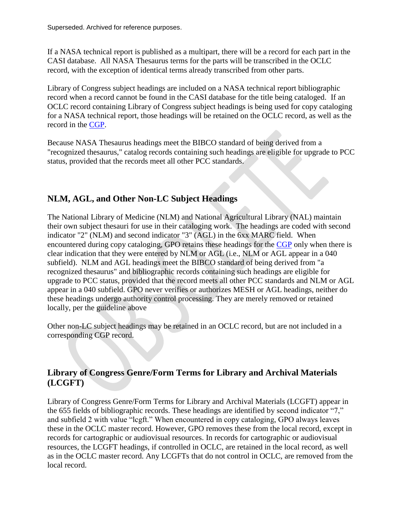If a NASA technical report is published as a multipart, there will be a record for each part in the CASI database. All NASA Thesaurus terms for the parts will be transcribed in the OCLC record, with the exception of identical terms already transcribed from other parts.

Library of Congress subject headings are included on a NASA technical report bibliographic record when a record cannot be found in the CASI database for the title being cataloged. If an OCLC record containing Library of Congress subject headings is being used for copy cataloging for a NASA technical report, those headings will be retained on the OCLC record, as well as the record in the [CGP.](http://catalog.gpo.gov/F)

Because NASA Thesaurus headings meet the BIBCO standard of being derived from a "recognized thesaurus," catalog records containing such headings are eligible for upgrade to PCC status, provided that the records meet all other PCC standards.

## **NLM, AGL, and Other Non-LC Subject Headings**

The National Library of Medicine (NLM) and National Agricultural Library (NAL) maintain their own subject thesauri for use in their cataloging work. The headings are coded with second indicator "2" (NLM) and second indicator "3" (AGL) in the 6xx MARC field. When encountered during copy cataloging, GPO retains these headings for the [CGP](http://catalog.gpo.gov/F) only when there is clear indication that they were entered by NLM or AGL (i.e., NLM or AGL appear in a 040 subfield). NLM and AGL headings meet the BIBCO standard of being derived from "a recognized thesaurus" and bibliographic records containing such headings are eligible for upgrade to PCC status, provided that the record meets all other PCC standards and NLM or AGL appear in a 040 subfield. GPO never verifies or authorizes MESH or AGL headings, neither do these headings undergo authority control processing. They are merely removed or retained locally, per the guideline above

Other non-LC subject headings may be retained in an OCLC record, but are not included in a corresponding CGP record.

## **Library of Congress Genre/Form Terms for Library and Archival Materials (LCGFT)**

Library of Congress Genre/Form Terms for Library and Archival Materials (LCGFT) appear in the 655 fields of bibliographic records. These headings are identified by second indicator "7," and subfield 2 with value "lcgft." When encountered in copy cataloging, GPO always leaves these in the OCLC master record. However, GPO removes these from the local record, except in records for cartographic or audiovisual resources. In records for cartographic or audiovisual resources, the LCGFT headings, if controlled in OCLC, are retained in the local record, as well as in the OCLC master record. Any LCGFTs that do not control in OCLC, are removed from the local record.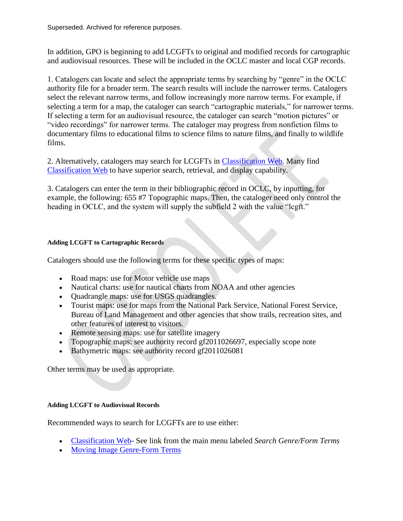In addition, GPO is beginning to add LCGFTs to original and modified records for cartographic and audiovisual resources. These will be included in the OCLC master and local CGP records.

1. Catalogers can locate and select the appropriate terms by searching by "genre" in the OCLC authority file for a broader term. The search results will include the narrower terms. Catalogers select the relevant narrow terms, and follow increasingly more narrow terms. For example, if selecting a term for a map, the cataloger can search "cartographic materials," for narrower terms. If selecting a term for an audiovisual resource, the cataloger can search "motion pictures" or "video recordings" for narrower terms. The cataloger may progress from nonfiction films to documentary films to educational films to science films to nature films, and finally to wildlife films.

2. Alternatively, catalogers may search for LCGFTs in [Classification Web.](http://classificationweb.net/) Many find [Classification Web](http://classificationweb.net/) to have superior search, retrieval, and display capability.

3. Catalogers can enter the term in their bibliographic record in OCLC, by inputting, for example, the following: 655 #7 Topographic maps. Then, the cataloger need only control the heading in OCLC, and the system will supply the subfield 2 with the value "lcgft."

#### **Adding LCGFT to Cartographic Records**

Catalogers should use the following terms for these specific types of maps:

- Road maps: use for Motor vehicle use maps
- Nautical charts: use for nautical charts from NOAA and other agencies
- Quadrangle maps: use for USGS quadrangles.
- Tourist maps: use for maps from the National Park Service, National Forest Service, Bureau of Land Management and other agencies that show trails, recreation sites, and other features of interest to visitors.
- Remote sensing maps: use for satellite imagery
- Topographic maps: see authority record gf2011026697, especially scope note
- Bathymetric maps: see authority record gf2011026081

Other terms may be used as appropriate.

#### **Adding LCGFT to Audiovisual Records**

Recommended ways to search for LCGFTs are to use either:

- [Classification Web-](http://classificationweb.net/Menu/index.html) See link from the main menu labeled *Search Genre/Form Terms*
- Moving Image Genre-Form Terms